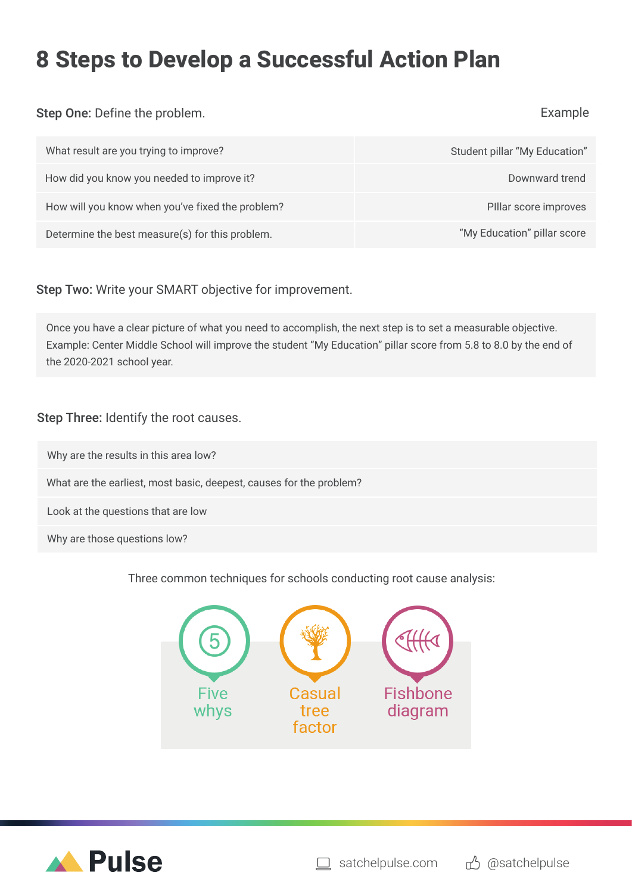# **8 Steps to Develop a Successful Action Plan**

Step One: Define the problem.

### Example

| What result are you trying to improve?           | Student pillar "My Education" |
|--------------------------------------------------|-------------------------------|
| How did you know you needed to improve it?       | Downward trend                |
| How will you know when you've fixed the problem? | PIllar score improves         |
| Determine the best measure(s) for this problem.  | "My Education" pillar score   |

# Step Two: Write your SMART objective for improvement.

Once you have a clear picture of what you need to accomplish, the next step is to set a measurable objective. Example: Center Middle School will improve the student "My Education" pillar score from 5.8 to 8.0 by the end of the 2020-2021 school year.

# Step Three: Identify the root causes.

Why are the results in this area low?

What are the earliest, most basic, deepest, causes for the problem?

Look at the questions that are low

Why are those questions low?

Three common techniques for schools conducting root cause analysis: